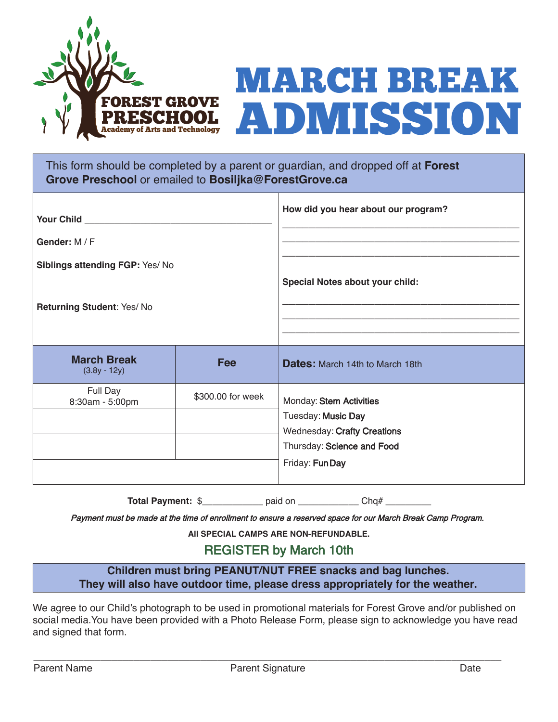



This form should be completed by a parent or guardian, and dropped off at **Forest Grove Preschool** or emailed to **Bosiljka@ForestGrove.ca**

|                                      |                   | How did you hear about our program?                                                                                                  |
|--------------------------------------|-------------------|--------------------------------------------------------------------------------------------------------------------------------------|
| Gender: M / F                        |                   |                                                                                                                                      |
| Siblings attending FGP: Yes/No       |                   | Special Notes about your child:                                                                                                      |
| Returning Student: Yes/No            |                   |                                                                                                                                      |
| <b>March Break</b><br>$(3.8y - 12y)$ | <b>Fee</b>        | <b>Dates: March 14th to March 18th</b>                                                                                               |
| Full Day<br>8:30am - 5:00pm          | \$300.00 for week | Monday: Stem Activities<br>Tuesday: Music Day<br><b>Wednesday: Crafty Creations</b><br>Thursday: Science and Food<br>Friday: Fun Day |

**Total Payment:** \$ \_\_\_\_\_\_\_\_\_\_\_ paid on \_\_\_\_\_\_\_\_\_\_\_\_ Chq#

Payment must be made at the time of enrollment to ensure a reserved space for our March Break Camp Program.

**All SPECIAL CAMPS ARE NON-REFUNDABLE.**

## REGISTER by March 10th

**Children must bring PEANUT/NUT FREE snacks and bag lunches. They will also have outdoor time, please dress appropriately for the weather.**

We agree to our Child's photograph to be used in promotional materials for Forest Grove and/or published on social media.You have been provided with a Photo Release Form, please sign to acknowledge you have read and signed that form.